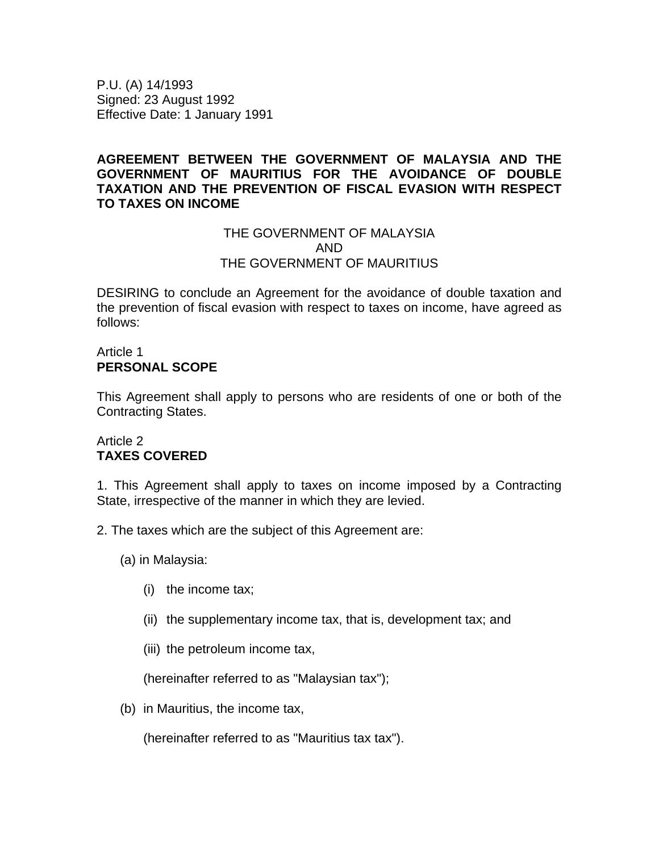P.U. (A) 14/1993 Signed: 23 August 1992 Effective Date: 1 January 1991

## **AGREEMENT BETWEEN THE GOVERNMENT OF MALAYSIA AND THE GOVERNMENT OF MAURITIUS FOR THE AVOIDANCE OF DOUBLE TAXATION AND THE PREVENTION OF FISCAL EVASION WITH RESPECT TO TAXES ON INCOME**

### THE GOVERNMENT OF MALAYSIA AND THE GOVERNMENT OF MAURITIUS

DESIRING to conclude an Agreement for the avoidance of double taxation and the prevention of fiscal evasion with respect to taxes on income, have agreed as follows:

### Article 1 **PERSONAL SCOPE**

This Agreement shall apply to persons who are residents of one or both of the Contracting States.

## Article 2 **TAXES COVERED**

1. This Agreement shall apply to taxes on income imposed by a Contracting State, irrespective of the manner in which they are levied.

- 2. The taxes which are the subject of this Agreement are:
	- (a) in Malaysia:
		- (i) the income tax;
		- (ii) the supplementary income tax, that is, development tax; and
		- (iii) the petroleum income tax,

(hereinafter referred to as "Malaysian tax");

(b) in Mauritius, the income tax,

(hereinafter referred to as "Mauritius tax tax").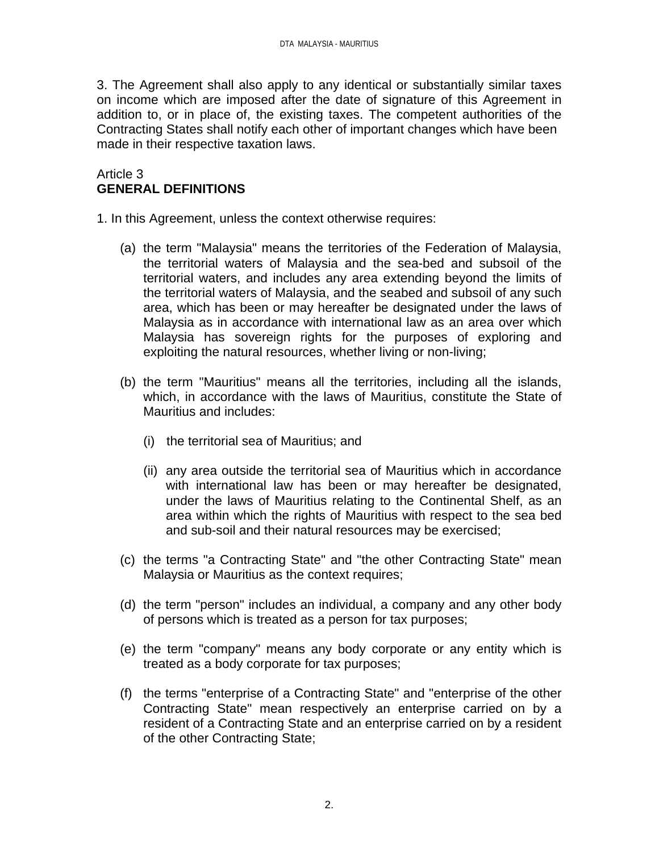3. The Agreement shall also apply to any identical or substantially similar taxes on income which are imposed after the date of signature of this Agreement in addition to, or in place of, the existing taxes. The competent authorities of the Contracting States shall notify each other of important changes which have been made in their respective taxation laws.

## Article 3 **GENERAL DEFINITIONS**

1. In this Agreement, unless the context otherwise requires:

- (a) the term "Malaysia" means the territories of the Federation of Malaysia, the territorial waters of Malaysia and the sea-bed and subsoil of the territorial waters, and includes any area extending beyond the limits of the territorial waters of Malaysia, and the seabed and subsoil of any such area, which has been or may hereafter be designated under the laws of Malaysia as in accordance with international law as an area over which Malaysia has sovereign rights for the purposes of exploring and exploiting the natural resources, whether living or non-living;
- (b) the term "Mauritius" means all the territories, including all the islands, which, in accordance with the laws of Mauritius, constitute the State of Mauritius and includes:
	- (i) the territorial sea of Mauritius; and
	- (ii) any area outside the territorial sea of Mauritius which in accordance with international law has been or may hereafter be designated, under the laws of Mauritius relating to the Continental Shelf, as an area within which the rights of Mauritius with respect to the sea bed and sub-soil and their natural resources may be exercised;
- (c) the terms "a Contracting State" and "the other Contracting State" mean Malaysia or Mauritius as the context requires;
- (d) the term "person" includes an individual, a company and any other body of persons which is treated as a person for tax purposes;
- (e) the term "company" means any body corporate or any entity which is treated as a body corporate for tax purposes;
- (f) the terms "enterprise of a Contracting State" and "enterprise of the other Contracting State" mean respectively an enterprise carried on by a resident of a Contracting State and an enterprise carried on by a resident of the other Contracting State;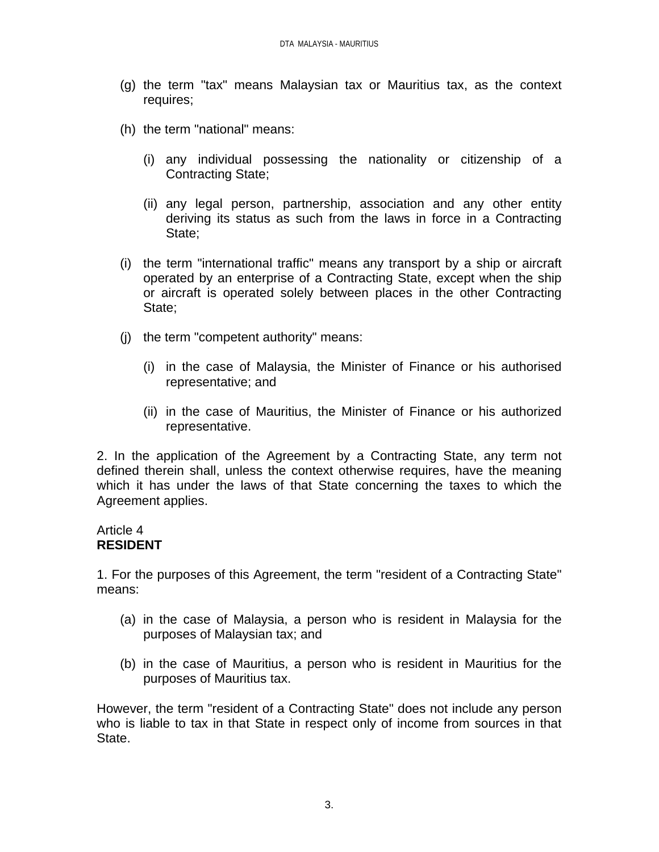- (g) the term "tax" means Malaysian tax or Mauritius tax, as the context requires;
- (h) the term "national" means:
	- (i) any individual possessing the nationality or citizenship of a Contracting State;
	- (ii) any legal person, partnership, association and any other entity deriving its status as such from the laws in force in a Contracting State;
- (i) the term "international traffic" means any transport by a ship or aircraft operated by an enterprise of a Contracting State, except when the ship or aircraft is operated solely between places in the other Contracting State;
- (j) the term "competent authority" means:
	- (i) in the case of Malaysia, the Minister of Finance or his authorised representative; and
	- (ii) in the case of Mauritius, the Minister of Finance or his authorized representative.

2. In the application of the Agreement by a Contracting State, any term not defined therein shall, unless the context otherwise requires, have the meaning which it has under the laws of that State concerning the taxes to which the Agreement applies.

### Article 4 **RESIDENT**

1. For the purposes of this Agreement, the term "resident of a Contracting State" means:

- (a) in the case of Malaysia, a person who is resident in Malaysia for the purposes of Malaysian tax; and
- (b) in the case of Mauritius, a person who is resident in Mauritius for the purposes of Mauritius tax.

However, the term "resident of a Contracting State" does not include any person who is liable to tax in that State in respect only of income from sources in that State.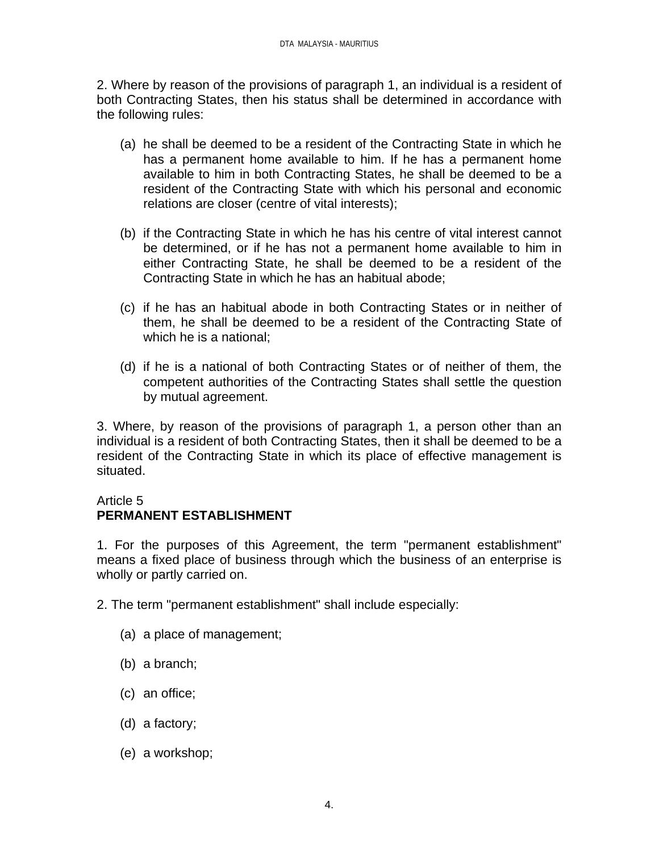2. Where by reason of the provisions of paragraph 1, an individual is a resident of both Contracting States, then his status shall be determined in accordance with the following rules:

- (a) he shall be deemed to be a resident of the Contracting State in which he has a permanent home available to him. If he has a permanent home available to him in both Contracting States, he shall be deemed to be a resident of the Contracting State with which his personal and economic relations are closer (centre of vital interests);
- (b) if the Contracting State in which he has his centre of vital interest cannot be determined, or if he has not a permanent home available to him in either Contracting State, he shall be deemed to be a resident of the Contracting State in which he has an habitual abode;
- (c) if he has an habitual abode in both Contracting States or in neither of them, he shall be deemed to be a resident of the Contracting State of which he is a national;
- (d) if he is a national of both Contracting States or of neither of them, the competent authorities of the Contracting States shall settle the question by mutual agreement.

3. Where, by reason of the provisions of paragraph 1, a person other than an individual is a resident of both Contracting States, then it shall be deemed to be a resident of the Contracting State in which its place of effective management is situated.

## Article 5

# **PERMANENT ESTABLISHMENT**

1. For the purposes of this Agreement, the term "permanent establishment" means a fixed place of business through which the business of an enterprise is wholly or partly carried on.

2. The term "permanent establishment" shall include especially:

- (a) a place of management;
- (b) a branch;
- (c) an office;
- (d) a factory;
- (e) a workshop;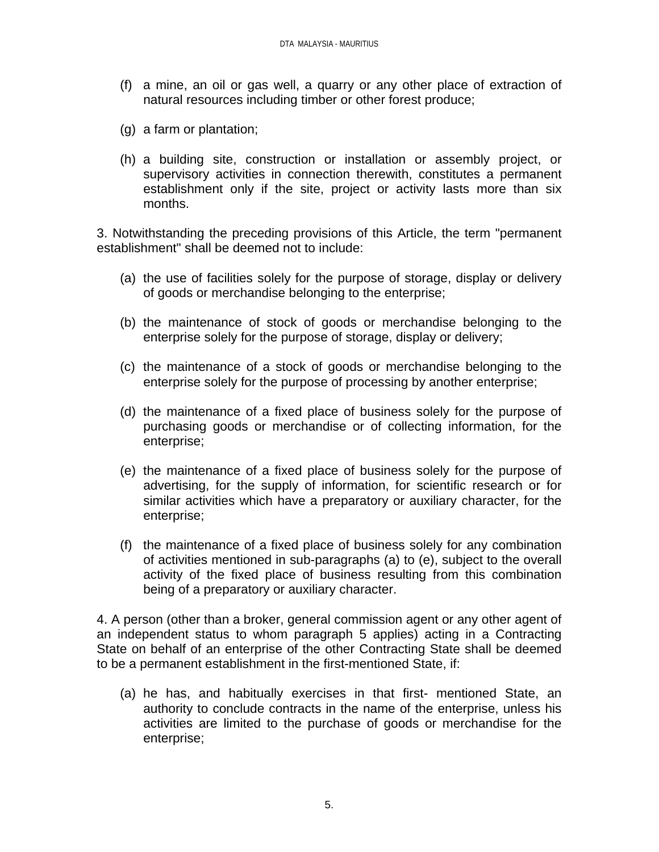- (f) a mine, an oil or gas well, a quarry or any other place of extraction of natural resources including timber or other forest produce;
- (g) a farm or plantation;
- (h) a building site, construction or installation or assembly project, or supervisory activities in connection therewith, constitutes a permanent establishment only if the site, project or activity lasts more than six months.

3. Notwithstanding the preceding provisions of this Article, the term "permanent establishment" shall be deemed not to include:

- (a) the use of facilities solely for the purpose of storage, display or delivery of goods or merchandise belonging to the enterprise;
- (b) the maintenance of stock of goods or merchandise belonging to the enterprise solely for the purpose of storage, display or delivery;
- (c) the maintenance of a stock of goods or merchandise belonging to the enterprise solely for the purpose of processing by another enterprise;
- (d) the maintenance of a fixed place of business solely for the purpose of purchasing goods or merchandise or of collecting information, for the enterprise;
- (e) the maintenance of a fixed place of business solely for the purpose of advertising, for the supply of information, for scientific research or for similar activities which have a preparatory or auxiliary character, for the enterprise;
- (f) the maintenance of a fixed place of business solely for any combination of activities mentioned in sub-paragraphs (a) to (e), subject to the overall activity of the fixed place of business resulting from this combination being of a preparatory or auxiliary character.

4. A person (other than a broker, general commission agent or any other agent of an independent status to whom paragraph 5 applies) acting in a Contracting State on behalf of an enterprise of the other Contracting State shall be deemed to be a permanent establishment in the first-mentioned State, if:

(a) he has, and habitually exercises in that first- mentioned State, an authority to conclude contracts in the name of the enterprise, unless his activities are limited to the purchase of goods or merchandise for the enterprise;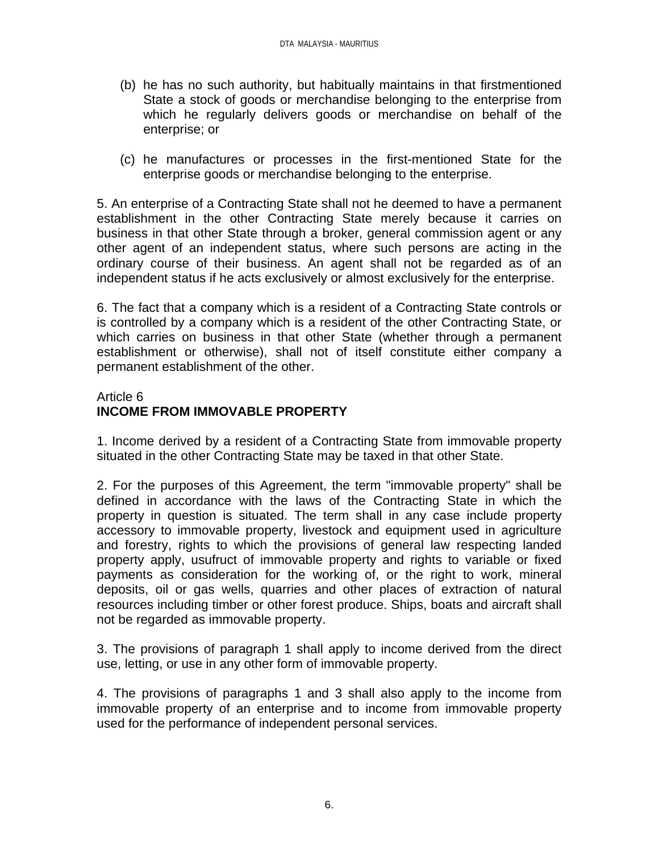- (b) he has no such authority, but habitually maintains in that firstmentioned State a stock of goods or merchandise belonging to the enterprise from which he regularly delivers goods or merchandise on behalf of the enterprise; or
- (c) he manufactures or processes in the first-mentioned State for the enterprise goods or merchandise belonging to the enterprise.

5. An enterprise of a Contracting State shall not he deemed to have a permanent establishment in the other Contracting State merely because it carries on business in that other State through a broker, general commission agent or any other agent of an independent status, where such persons are acting in the ordinary course of their business. An agent shall not be regarded as of an independent status if he acts exclusively or almost exclusively for the enterprise.

6. The fact that a company which is a resident of a Contracting State controls or is controlled by a company which is a resident of the other Contracting State, or which carries on business in that other State (whether through a permanent establishment or otherwise), shall not of itself constitute either company a permanent establishment of the other.

## Article 6 **INCOME FROM IMMOVABLE PROPERTY**

1. Income derived by a resident of a Contracting State from immovable property situated in the other Contracting State may be taxed in that other State.

2. For the purposes of this Agreement, the term "immovable property" shall be defined in accordance with the laws of the Contracting State in which the property in question is situated. The term shall in any case include property accessory to immovable property, livestock and equipment used in agriculture and forestry, rights to which the provisions of general law respecting landed property apply, usufruct of immovable property and rights to variable or fixed payments as consideration for the working of, or the right to work, mineral deposits, oil or gas wells, quarries and other places of extraction of natural resources including timber or other forest produce. Ships, boats and aircraft shall not be regarded as immovable property.

3. The provisions of paragraph 1 shall apply to income derived from the direct use, letting, or use in any other form of immovable property.

4. The provisions of paragraphs 1 and 3 shall also apply to the income from immovable property of an enterprise and to income from immovable property used for the performance of independent personal services.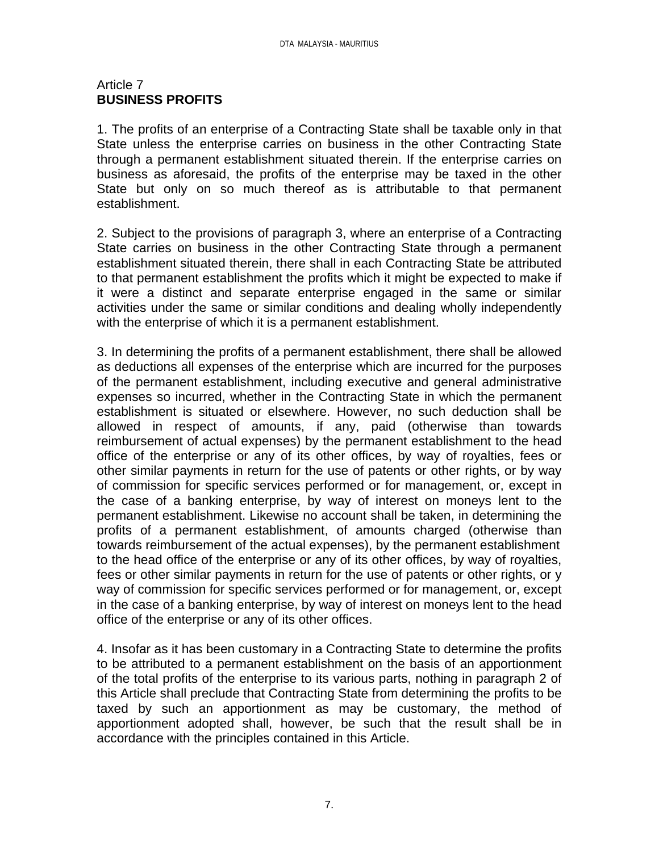### Article 7 **BUSINESS PROFITS**

1. The profits of an enterprise of a Contracting State shall be taxable only in that State unless the enterprise carries on business in the other Contracting State through a permanent establishment situated therein. If the enterprise carries on business as aforesaid, the profits of the enterprise may be taxed in the other State but only on so much thereof as is attributable to that permanent establishment.

2. Subject to the provisions of paragraph 3, where an enterprise of a Contracting State carries on business in the other Contracting State through a permanent establishment situated therein, there shall in each Contracting State be attributed to that permanent establishment the profits which it might be expected to make if it were a distinct and separate enterprise engaged in the same or similar activities under the same or similar conditions and dealing wholly independently with the enterprise of which it is a permanent establishment.

3. In determining the profits of a permanent establishment, there shall be allowed as deductions all expenses of the enterprise which are incurred for the purposes of the permanent establishment, including executive and general administrative expenses so incurred, whether in the Contracting State in which the permanent establishment is situated or elsewhere. However, no such deduction shall be allowed in respect of amounts, if any, paid (otherwise than towards reimbursement of actual expenses) by the permanent establishment to the head office of the enterprise or any of its other offices, by way of royalties, fees or other similar payments in return for the use of patents or other rights, or by way of commission for specific services performed or for management, or, except in the case of a banking enterprise, by way of interest on moneys lent to the permanent establishment. Likewise no account shall be taken, in determining the profits of a permanent establishment, of amounts charged (otherwise than towards reimbursement of the actual expenses), by the permanent establishment to the head office of the enterprise or any of its other offices, by way of royalties, fees or other similar payments in return for the use of patents or other rights, or y way of commission for specific services performed or for management, or, except in the case of a banking enterprise, by way of interest on moneys lent to the head office of the enterprise or any of its other offices.

4. Insofar as it has been customary in a Contracting State to determine the profits to be attributed to a permanent establishment on the basis of an apportionment of the total profits of the enterprise to its various parts, nothing in paragraph 2 of this Article shall preclude that Contracting State from determining the profits to be taxed by such an apportionment as may be customary, the method of apportionment adopted shall, however, be such that the result shall be in accordance with the principles contained in this Article.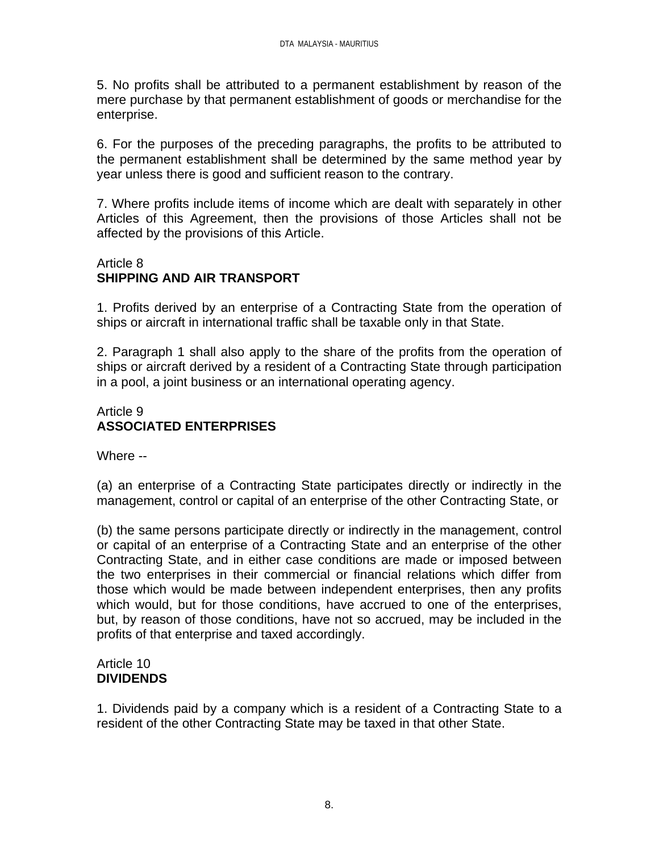5. No profits shall be attributed to a permanent establishment by reason of the mere purchase by that permanent establishment of goods or merchandise for the enterprise.

6. For the purposes of the preceding paragraphs, the profits to be attributed to the permanent establishment shall be determined by the same method year by year unless there is good and sufficient reason to the contrary.

7. Where profits include items of income which are dealt with separately in other Articles of this Agreement, then the provisions of those Articles shall not be affected by the provisions of this Article.

## Article 8 **SHIPPING AND AIR TRANSPORT**

1. Profits derived by an enterprise of a Contracting State from the operation of ships or aircraft in international traffic shall be taxable only in that State.

2. Paragraph 1 shall also apply to the share of the profits from the operation of ships or aircraft derived by a resident of a Contracting State through participation in a pool, a joint business or an international operating agency.

## Article 9 **ASSOCIATED ENTERPRISES**

Where --

(a) an enterprise of a Contracting State participates directly or indirectly in the management, control or capital of an enterprise of the other Contracting State, or

(b) the same persons participate directly or indirectly in the management, control or capital of an enterprise of a Contracting State and an enterprise of the other Contracting State, and in either case conditions are made or imposed between the two enterprises in their commercial or financial relations which differ from those which would be made between independent enterprises, then any profits which would, but for those conditions, have accrued to one of the enterprises, but, by reason of those conditions, have not so accrued, may be included in the profits of that enterprise and taxed accordingly.

## Article 10 **DIVIDENDS**

1. Dividends paid by a company which is a resident of a Contracting State to a resident of the other Contracting State may be taxed in that other State.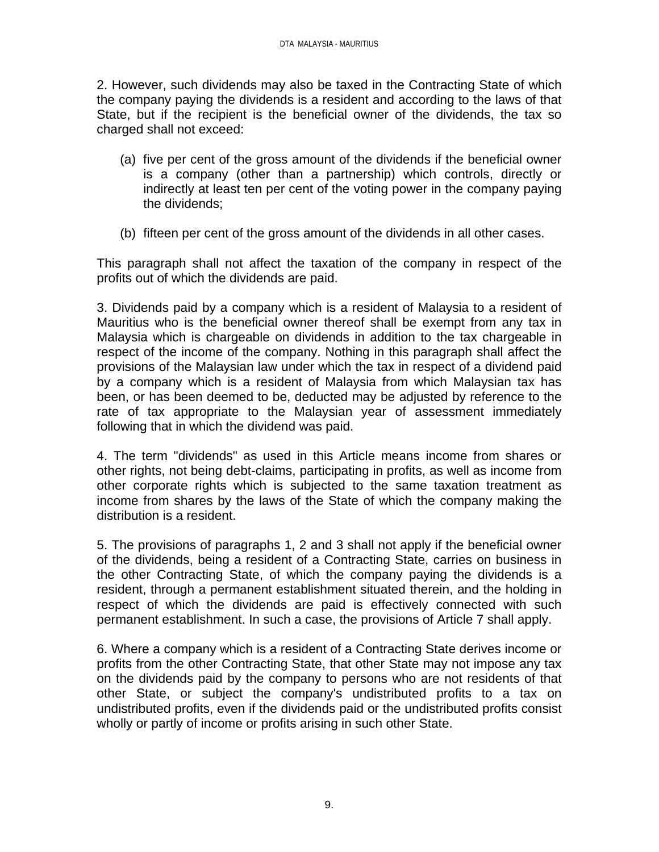2. However, such dividends may also be taxed in the Contracting State of which the company paying the dividends is a resident and according to the laws of that State, but if the recipient is the beneficial owner of the dividends, the tax so charged shall not exceed:

- (a) five per cent of the gross amount of the dividends if the beneficial owner is a company (other than a partnership) which controls, directly or indirectly at least ten per cent of the voting power in the company paying the dividends;
- (b) fifteen per cent of the gross amount of the dividends in all other cases.

This paragraph shall not affect the taxation of the company in respect of the profits out of which the dividends are paid.

3. Dividends paid by a company which is a resident of Malaysia to a resident of Mauritius who is the beneficial owner thereof shall be exempt from any tax in Malaysia which is chargeable on dividends in addition to the tax chargeable in respect of the income of the company. Nothing in this paragraph shall affect the provisions of the Malaysian law under which the tax in respect of a dividend paid by a company which is a resident of Malaysia from which Malaysian tax has been, or has been deemed to be, deducted may be adjusted by reference to the rate of tax appropriate to the Malaysian year of assessment immediately following that in which the dividend was paid.

4. The term "dividends" as used in this Article means income from shares or other rights, not being debt-claims, participating in profits, as well as income from other corporate rights which is subjected to the same taxation treatment as income from shares by the laws of the State of which the company making the distribution is a resident.

5. The provisions of paragraphs 1, 2 and 3 shall not apply if the beneficial owner of the dividends, being a resident of a Contracting State, carries on business in the other Contracting State, of which the company paying the dividends is a resident, through a permanent establishment situated therein, and the holding in respect of which the dividends are paid is effectively connected with such permanent establishment. In such a case, the provisions of Article 7 shall apply.

6. Where a company which is a resident of a Contracting State derives income or profits from the other Contracting State, that other State may not impose any tax on the dividends paid by the company to persons who are not residents of that other State, or subject the company's undistributed profits to a tax on undistributed profits, even if the dividends paid or the undistributed profits consist wholly or partly of income or profits arising in such other State.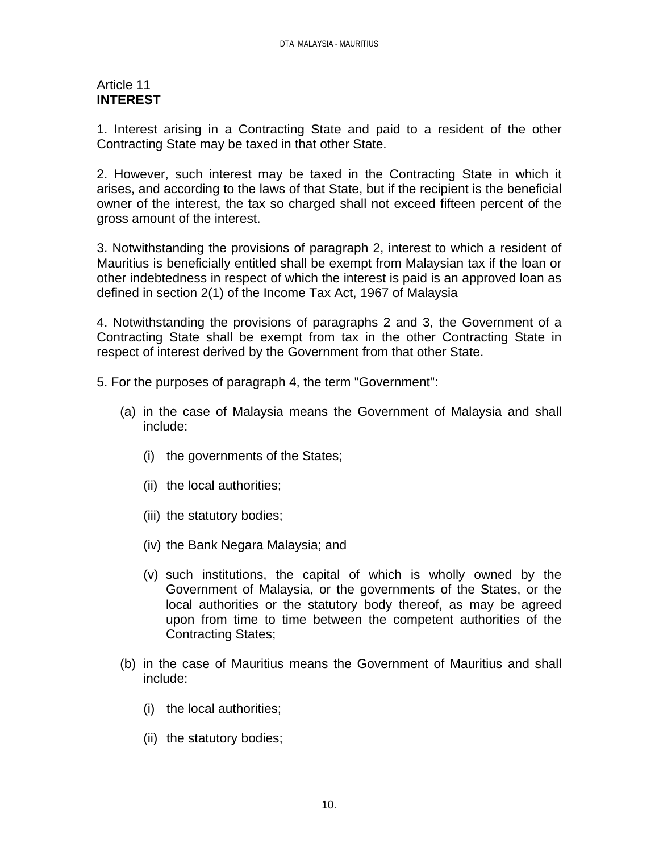#### Article 11 **INTEREST**

1. Interest arising in a Contracting State and paid to a resident of the other Contracting State may be taxed in that other State.

2. However, such interest may be taxed in the Contracting State in which it arises, and according to the laws of that State, but if the recipient is the beneficial owner of the interest, the tax so charged shall not exceed fifteen percent of the gross amount of the interest.

3. Notwithstanding the provisions of paragraph 2, interest to which a resident of Mauritius is beneficially entitled shall be exempt from Malaysian tax if the loan or other indebtedness in respect of which the interest is paid is an approved loan as defined in section 2(1) of the Income Tax Act, 1967 of Malaysia

4. Notwithstanding the provisions of paragraphs 2 and 3, the Government of a Contracting State shall be exempt from tax in the other Contracting State in respect of interest derived by the Government from that other State.

5. For the purposes of paragraph 4, the term "Government":

- (a) in the case of Malaysia means the Government of Malaysia and shall include:
	- (i) the governments of the States;
	- (ii) the local authorities;
	- (iii) the statutory bodies;
	- (iv) the Bank Negara Malaysia; and
	- (v) such institutions, the capital of which is wholly owned by the Government of Malaysia, or the governments of the States, or the local authorities or the statutory body thereof, as may be agreed upon from time to time between the competent authorities of the Contracting States;
- (b) in the case of Mauritius means the Government of Mauritius and shall include:
	- (i) the local authorities;
	- (ii) the statutory bodies;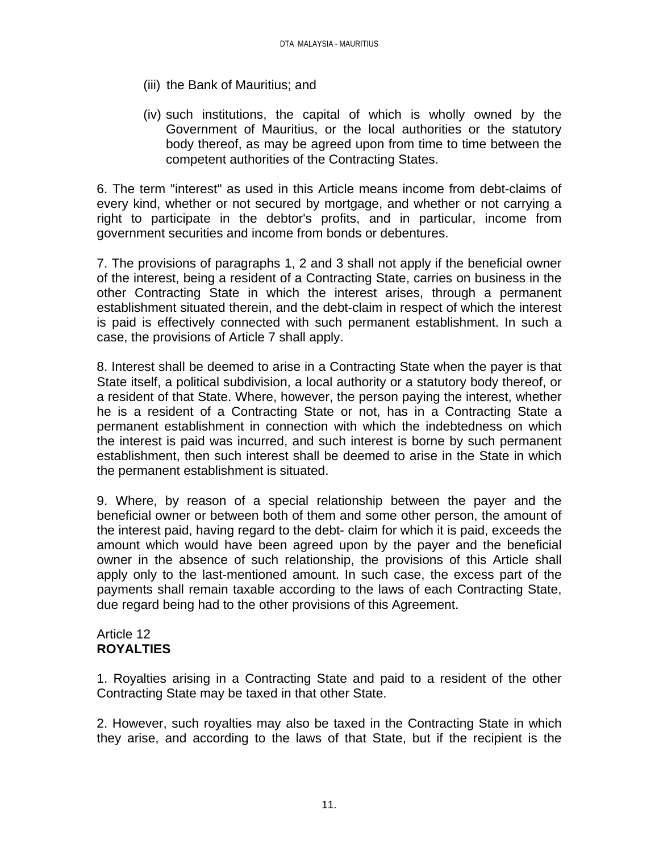- (iii) the Bank of Mauritius; and
- (iv) such institutions, the capital of which is wholly owned by the Government of Mauritius, or the local authorities or the statutory body thereof, as may be agreed upon from time to time between the competent authorities of the Contracting States.

6. The term "interest" as used in this Article means income from debt-claims of every kind, whether or not secured by mortgage, and whether or not carrying a right to participate in the debtor's profits, and in particular, income from government securities and income from bonds or debentures.

7. The provisions of paragraphs 1, 2 and 3 shall not apply if the beneficial owner of the interest, being a resident of a Contracting State, carries on business in the other Contracting State in which the interest arises, through a permanent establishment situated therein, and the debt-claim in respect of which the interest is paid is effectively connected with such permanent establishment. In such a case, the provisions of Article 7 shall apply.

8. Interest shall be deemed to arise in a Contracting State when the payer is that State itself, a political subdivision, a local authority or a statutory body thereof, or a resident of that State. Where, however, the person paying the interest, whether he is a resident of a Contracting State or not, has in a Contracting State a permanent establishment in connection with which the indebtedness on which the interest is paid was incurred, and such interest is borne by such permanent establishment, then such interest shall be deemed to arise in the State in which the permanent establishment is situated.

9. Where, by reason of a special relationship between the payer and the beneficial owner or between both of them and some other person, the amount of the interest paid, having regard to the debt- claim for which it is paid, exceeds the amount which would have been agreed upon by the payer and the beneficial owner in the absence of such relationship, the provisions of this Article shall apply only to the last-mentioned amount. In such case, the excess part of the payments shall remain taxable according to the laws of each Contracting State, due regard being had to the other provisions of this Agreement.

## Article 12 **ROYALTIES**

1. Royalties arising in a Contracting State and paid to a resident of the other Contracting State may be taxed in that other State.

2. However, such royalties may also be taxed in the Contracting State in which they arise, and according to the laws of that State, but if the recipient is the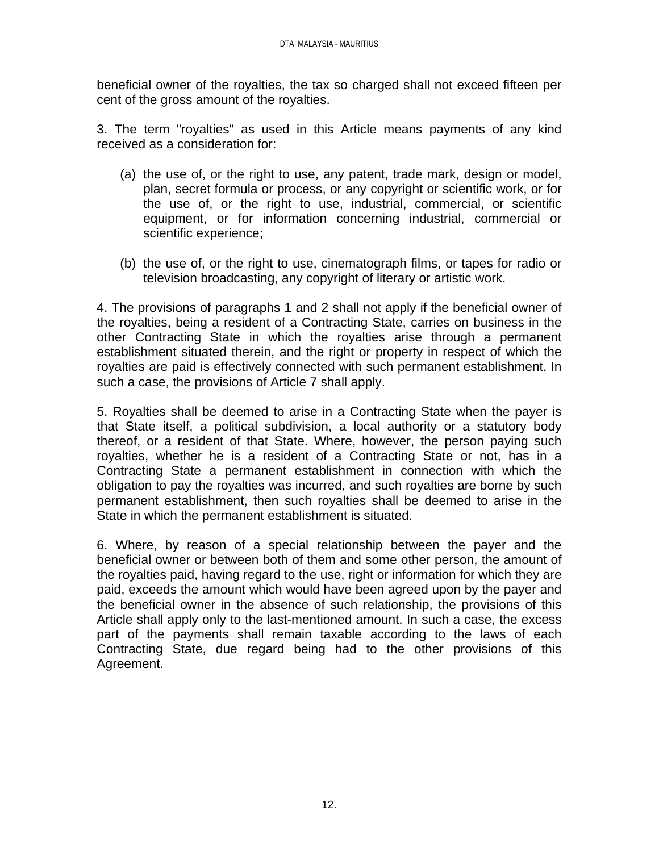beneficial owner of the royalties, the tax so charged shall not exceed fifteen per cent of the gross amount of the royalties.

3. The term "royalties" as used in this Article means payments of any kind received as a consideration for:

- (a) the use of, or the right to use, any patent, trade mark, design or model, plan, secret formula or process, or any copyright or scientific work, or for the use of, or the right to use, industrial, commercial, or scientific equipment, or for information concerning industrial, commercial or scientific experience;
- (b) the use of, or the right to use, cinematograph films, or tapes for radio or television broadcasting, any copyright of literary or artistic work.

4. The provisions of paragraphs 1 and 2 shall not apply if the beneficial owner of the royalties, being a resident of a Contracting State, carries on business in the other Contracting State in which the royalties arise through a permanent establishment situated therein, and the right or property in respect of which the royalties are paid is effectively connected with such permanent establishment. In such a case, the provisions of Article 7 shall apply.

5. Royalties shall be deemed to arise in a Contracting State when the payer is that State itself, a political subdivision, a local authority or a statutory body thereof, or a resident of that State. Where, however, the person paying such royalties, whether he is a resident of a Contracting State or not, has in a Contracting State a permanent establishment in connection with which the obligation to pay the royalties was incurred, and such royalties are borne by such permanent establishment, then such royalties shall be deemed to arise in the State in which the permanent establishment is situated.

6. Where, by reason of a special relationship between the payer and the beneficial owner or between both of them and some other person, the amount of the royalties paid, having regard to the use, right or information for which they are paid, exceeds the amount which would have been agreed upon by the payer and the beneficial owner in the absence of such relationship, the provisions of this Article shall apply only to the last-mentioned amount. In such a case, the excess part of the payments shall remain taxable according to the laws of each Contracting State, due regard being had to the other provisions of this Agreement.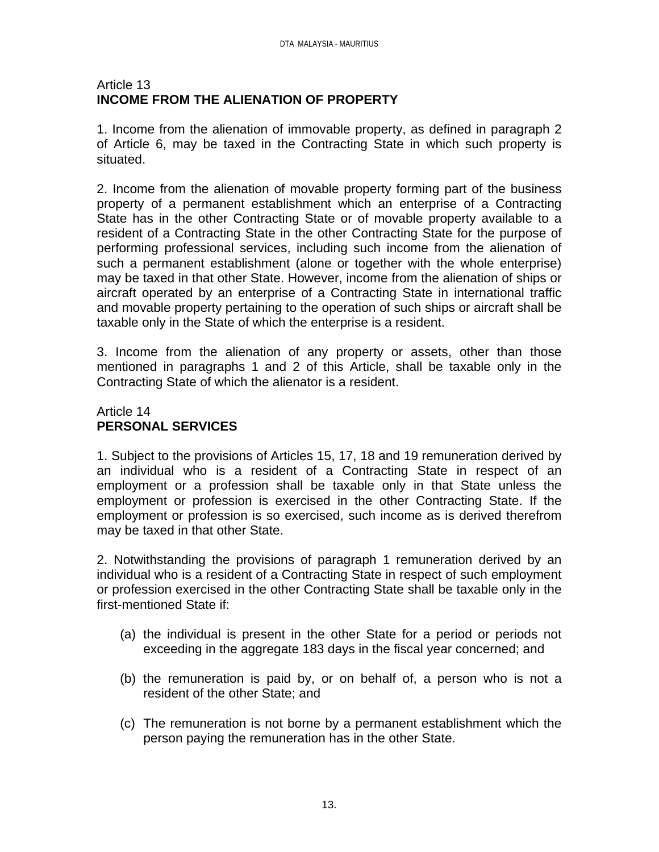## Article 13 **INCOME FROM THE ALIENATION OF PROPERTY**

1. Income from the alienation of immovable property, as defined in paragraph 2 of Article 6, may be taxed in the Contracting State in which such property is situated.

2. Income from the alienation of movable property forming part of the business property of a permanent establishment which an enterprise of a Contracting State has in the other Contracting State or of movable property available to a resident of a Contracting State in the other Contracting State for the purpose of performing professional services, including such income from the alienation of such a permanent establishment (alone or together with the whole enterprise) may be taxed in that other State. However, income from the alienation of ships or aircraft operated by an enterprise of a Contracting State in international traffic and movable property pertaining to the operation of such ships or aircraft shall be taxable only in the State of which the enterprise is a resident.

3. Income from the alienation of any property or assets, other than those mentioned in paragraphs 1 and 2 of this Article, shall be taxable only in the Contracting State of which the alienator is a resident.

## Article 14 **PERSONAL SERVICES**

1. Subject to the provisions of Articles 15, 17, 18 and 19 remuneration derived by an individual who is a resident of a Contracting State in respect of an employment or a profession shall be taxable only in that State unless the employment or profession is exercised in the other Contracting State. If the employment or profession is so exercised, such income as is derived therefrom may be taxed in that other State.

2. Notwithstanding the provisions of paragraph 1 remuneration derived by an individual who is a resident of a Contracting State in respect of such employment or profession exercised in the other Contracting State shall be taxable only in the first-mentioned State if:

- (a) the individual is present in the other State for a period or periods not exceeding in the aggregate 183 days in the fiscal year concerned; and
- (b) the remuneration is paid by, or on behalf of, a person who is not a resident of the other State; and
- (c) The remuneration is not borne by a permanent establishment which the person paying the remuneration has in the other State.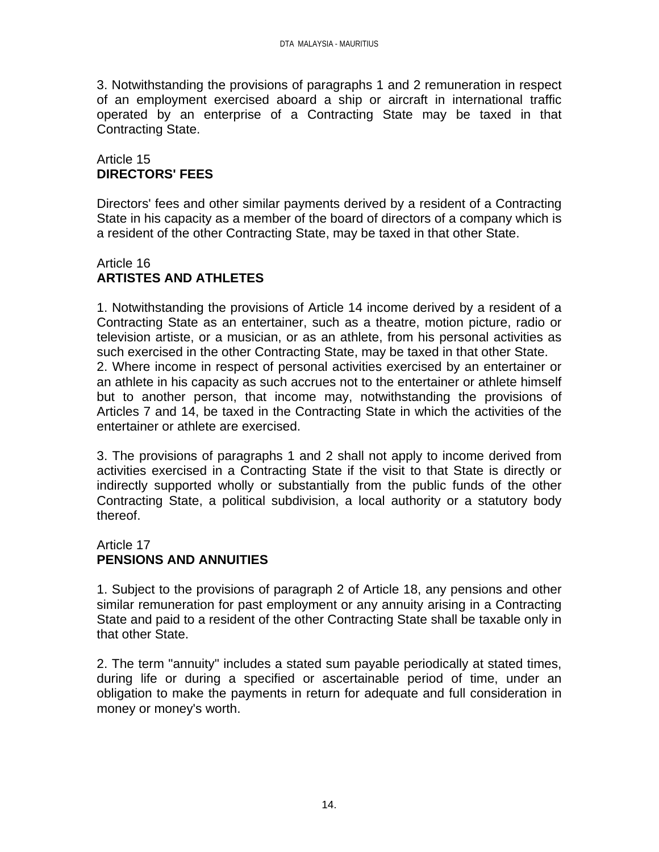3. Notwithstanding the provisions of paragraphs 1 and 2 remuneration in respect of an employment exercised aboard a ship or aircraft in international traffic operated by an enterprise of a Contracting State may be taxed in that Contracting State.

## Article 15 **DIRECTORS' FEES**

Directors' fees and other similar payments derived by a resident of a Contracting State in his capacity as a member of the board of directors of a company which is a resident of the other Contracting State, may be taxed in that other State.

## Article 16 **ARTISTES AND ATHLETES**

1. Notwithstanding the provisions of Article 14 income derived by a resident of a Contracting State as an entertainer, such as a theatre, motion picture, radio or television artiste, or a musician, or as an athlete, from his personal activities as such exercised in the other Contracting State, may be taxed in that other State. 2. Where income in respect of personal activities exercised by an entertainer or an athlete in his capacity as such accrues not to the entertainer or athlete himself but to another person, that income may, notwithstanding the provisions of Articles 7 and 14, be taxed in the Contracting State in which the activities of the entertainer or athlete are exercised.

3. The provisions of paragraphs 1 and 2 shall not apply to income derived from activities exercised in a Contracting State if the visit to that State is directly or indirectly supported wholly or substantially from the public funds of the other Contracting State, a political subdivision, a local authority or a statutory body thereof.

## Article 17 **PENSIONS AND ANNUITIES**

1. Subject to the provisions of paragraph 2 of Article 18, any pensions and other similar remuneration for past employment or any annuity arising in a Contracting State and paid to a resident of the other Contracting State shall be taxable only in that other State.

2. The term "annuity" includes a stated sum payable periodically at stated times, during life or during a specified or ascertainable period of time, under an obligation to make the payments in return for adequate and full consideration in money or money's worth.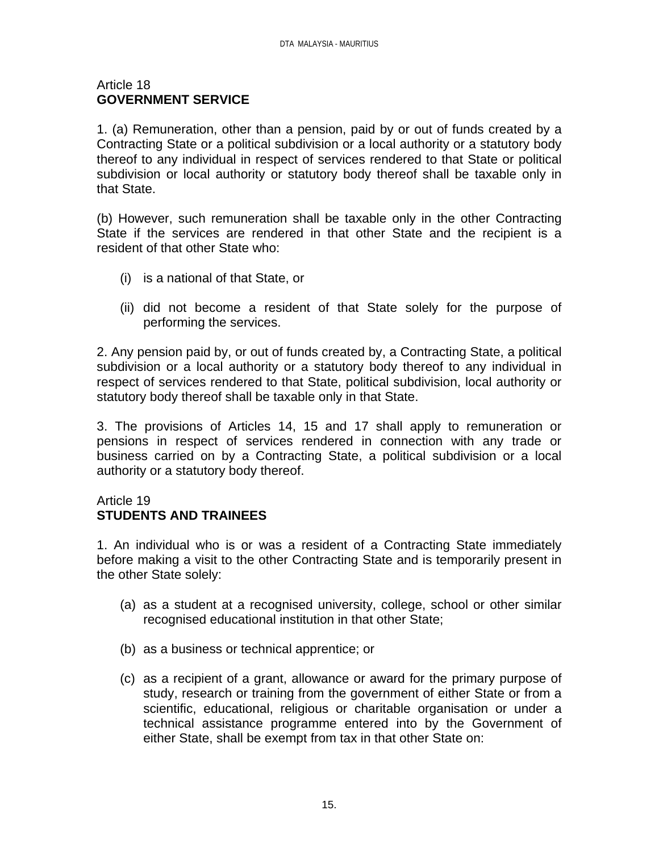### Article 18 **GOVERNMENT SERVICE**

1. (a) Remuneration, other than a pension, paid by or out of funds created by a Contracting State or a political subdivision or a local authority or a statutory body thereof to any individual in respect of services rendered to that State or political subdivision or local authority or statutory body thereof shall be taxable only in that State.

(b) However, such remuneration shall be taxable only in the other Contracting State if the services are rendered in that other State and the recipient is a resident of that other State who:

- (i) is a national of that State, or
- (ii) did not become a resident of that State solely for the purpose of performing the services.

2. Any pension paid by, or out of funds created by, a Contracting State, a political subdivision or a local authority or a statutory body thereof to any individual in respect of services rendered to that State, political subdivision, local authority or statutory body thereof shall be taxable only in that State.

3. The provisions of Articles 14, 15 and 17 shall apply to remuneration or pensions in respect of services rendered in connection with any trade or business carried on by a Contracting State, a political subdivision or a local authority or a statutory body thereof.

## Article 19

# **STUDENTS AND TRAINEES**

1. An individual who is or was a resident of a Contracting State immediately before making a visit to the other Contracting State and is temporarily present in the other State solely:

- (a) as a student at a recognised university, college, school or other similar recognised educational institution in that other State;
- (b) as a business or technical apprentice; or
- (c) as a recipient of a grant, allowance or award for the primary purpose of study, research or training from the government of either State or from a scientific, educational, religious or charitable organisation or under a technical assistance programme entered into by the Government of either State, shall be exempt from tax in that other State on: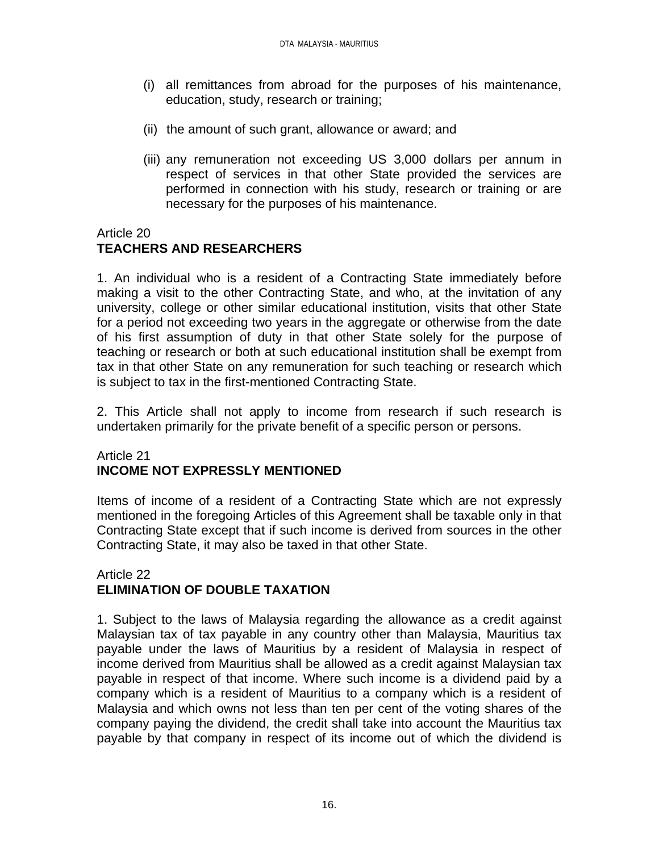- (i) all remittances from abroad for the purposes of his maintenance, education, study, research or training;
- (ii) the amount of such grant, allowance or award; and
- (iii) any remuneration not exceeding US 3,000 dollars per annum in respect of services in that other State provided the services are performed in connection with his study, research or training or are necessary for the purposes of his maintenance.

## Article 20

# **TEACHERS AND RESEARCHERS**

1. An individual who is a resident of a Contracting State immediately before making a visit to the other Contracting State, and who, at the invitation of any university, college or other similar educational institution, visits that other State for a period not exceeding two years in the aggregate or otherwise from the date of his first assumption of duty in that other State solely for the purpose of teaching or research or both at such educational institution shall be exempt from tax in that other State on any remuneration for such teaching or research which is subject to tax in the first-mentioned Contracting State.

2. This Article shall not apply to income from research if such research is undertaken primarily for the private benefit of a specific person or persons.

### Article 21 **INCOME NOT EXPRESSLY MENTIONED**

Items of income of a resident of a Contracting State which are not expressly mentioned in the foregoing Articles of this Agreement shall be taxable only in that Contracting State except that if such income is derived from sources in the other Contracting State, it may also be taxed in that other State.

#### Article 22 **ELIMINATION OF DOUBLE TAXATION**

1. Subject to the laws of Malaysia regarding the allowance as a credit against Malaysian tax of tax payable in any country other than Malaysia, Mauritius tax payable under the laws of Mauritius by a resident of Malaysia in respect of income derived from Mauritius shall be allowed as a credit against Malaysian tax payable in respect of that income. Where such income is a dividend paid by a company which is a resident of Mauritius to a company which is a resident of Malaysia and which owns not less than ten per cent of the voting shares of the company paying the dividend, the credit shall take into account the Mauritius tax payable by that company in respect of its income out of which the dividend is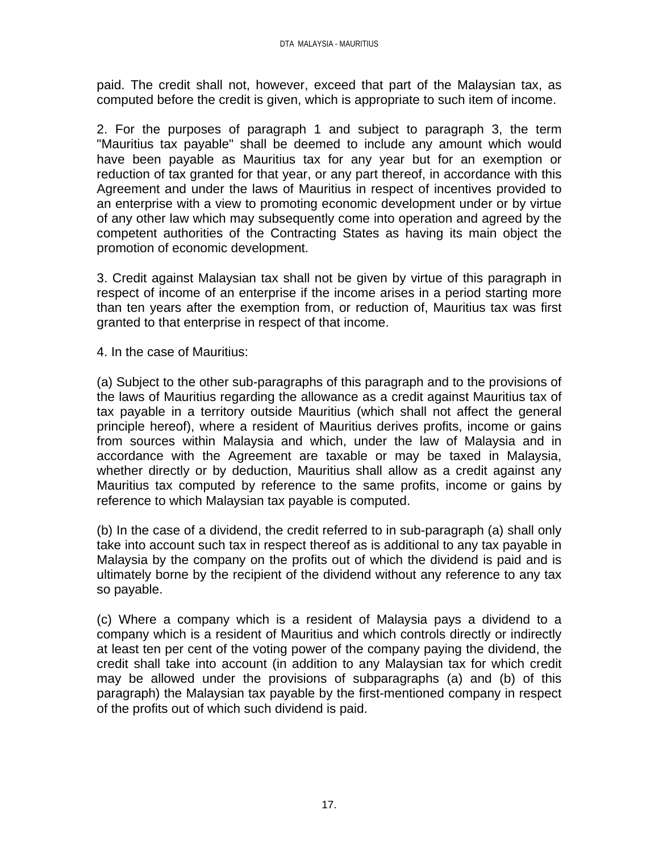paid. The credit shall not, however, exceed that part of the Malaysian tax, as computed before the credit is given, which is appropriate to such item of income.

2. For the purposes of paragraph 1 and subject to paragraph 3, the term "Mauritius tax payable" shall be deemed to include any amount which would have been payable as Mauritius tax for any year but for an exemption or reduction of tax granted for that year, or any part thereof, in accordance with this Agreement and under the laws of Mauritius in respect of incentives provided to an enterprise with a view to promoting economic development under or by virtue of any other law which may subsequently come into operation and agreed by the competent authorities of the Contracting States as having its main object the promotion of economic development.

3. Credit against Malaysian tax shall not be given by virtue of this paragraph in respect of income of an enterprise if the income arises in a period starting more than ten years after the exemption from, or reduction of, Mauritius tax was first granted to that enterprise in respect of that income.

4. In the case of Mauritius:

(a) Subject to the other sub-paragraphs of this paragraph and to the provisions of the laws of Mauritius regarding the allowance as a credit against Mauritius tax of tax payable in a territory outside Mauritius (which shall not affect the general principle hereof), where a resident of Mauritius derives profits, income or gains from sources within Malaysia and which, under the law of Malaysia and in accordance with the Agreement are taxable or may be taxed in Malaysia, whether directly or by deduction, Mauritius shall allow as a credit against any Mauritius tax computed by reference to the same profits, income or gains by reference to which Malaysian tax payable is computed.

(b) In the case of a dividend, the credit referred to in sub-paragraph (a) shall only take into account such tax in respect thereof as is additional to any tax payable in Malaysia by the company on the profits out of which the dividend is paid and is ultimately borne by the recipient of the dividend without any reference to any tax so payable.

(c) Where a company which is a resident of Malaysia pays a dividend to a company which is a resident of Mauritius and which controls directly or indirectly at least ten per cent of the voting power of the company paying the dividend, the credit shall take into account (in addition to any Malaysian tax for which credit may be allowed under the provisions of subparagraphs (a) and (b) of this paragraph) the Malaysian tax payable by the first-mentioned company in respect of the profits out of which such dividend is paid.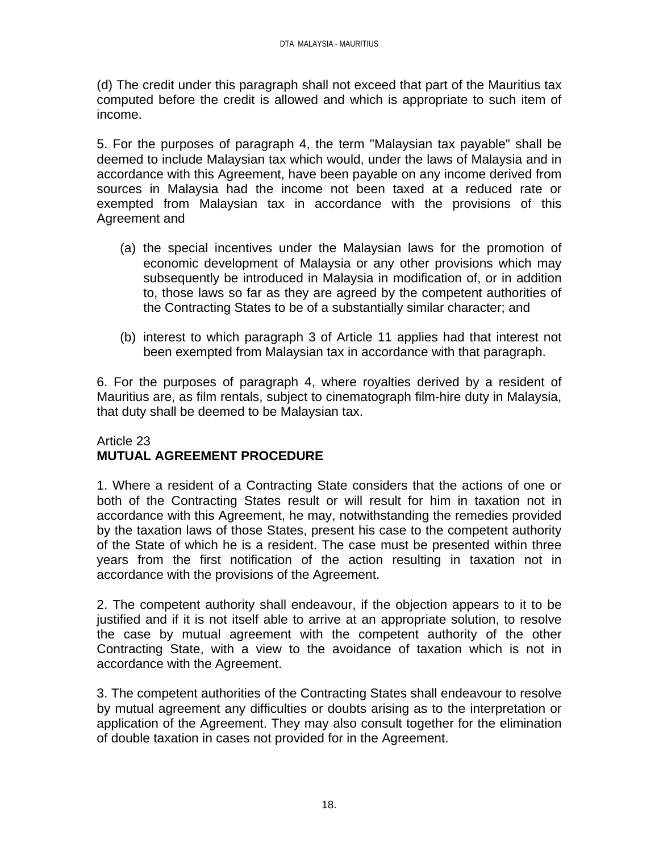(d) The credit under this paragraph shall not exceed that part of the Mauritius tax computed before the credit is allowed and which is appropriate to such item of income.

5. For the purposes of paragraph 4, the term "Malaysian tax payable" shall be deemed to include Malaysian tax which would, under the laws of Malaysia and in accordance with this Agreement, have been payable on any income derived from sources in Malaysia had the income not been taxed at a reduced rate or exempted from Malaysian tax in accordance with the provisions of this Agreement and

- (a) the special incentives under the Malaysian laws for the promotion of economic development of Malaysia or any other provisions which may subsequently be introduced in Malaysia in modification of, or in addition to, those laws so far as they are agreed by the competent authorities of the Contracting States to be of a substantially similar character; and
- (b) interest to which paragraph 3 of Article 11 applies had that interest not been exempted from Malaysian tax in accordance with that paragraph.

6. For the purposes of paragraph 4, where royalties derived by a resident of Mauritius are, as film rentals, subject to cinematograph film-hire duty in Malaysia, that duty shall be deemed to be Malaysian tax.

## Article 23 **MUTUAL AGREEMENT PROCEDURE**

1. Where a resident of a Contracting State considers that the actions of one or both of the Contracting States result or will result for him in taxation not in accordance with this Agreement, he may, notwithstanding the remedies provided by the taxation laws of those States, present his case to the competent authority of the State of which he is a resident. The case must be presented within three years from the first notification of the action resulting in taxation not in accordance with the provisions of the Agreement.

2. The competent authority shall endeavour, if the objection appears to it to be justified and if it is not itself able to arrive at an appropriate solution, to resolve the case by mutual agreement with the competent authority of the other Contracting State, with a view to the avoidance of taxation which is not in accordance with the Agreement.

3. The competent authorities of the Contracting States shall endeavour to resolve by mutual agreement any difficulties or doubts arising as to the interpretation or application of the Agreement. They may also consult together for the elimination of double taxation in cases not provided for in the Agreement.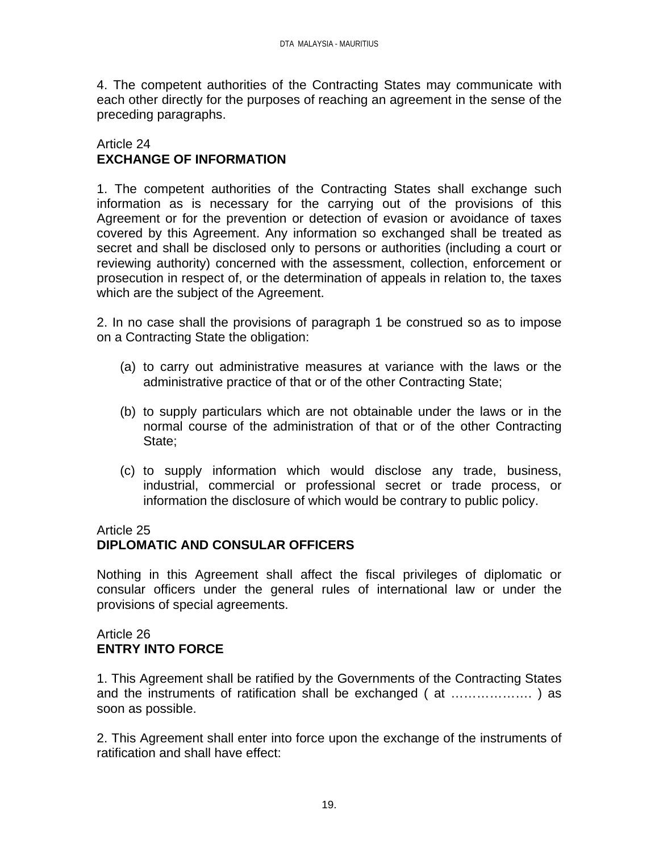4. The competent authorities of the Contracting States may communicate with each other directly for the purposes of reaching an agreement in the sense of the preceding paragraphs.

### Article 24 **EXCHANGE OF INFORMATION**

1. The competent authorities of the Contracting States shall exchange such information as is necessary for the carrying out of the provisions of this Agreement or for the prevention or detection of evasion or avoidance of taxes covered by this Agreement. Any information so exchanged shall be treated as secret and shall be disclosed only to persons or authorities (including a court or reviewing authority) concerned with the assessment, collection, enforcement or prosecution in respect of, or the determination of appeals in relation to, the taxes which are the subject of the Agreement.

2. In no case shall the provisions of paragraph 1 be construed so as to impose on a Contracting State the obligation:

- (a) to carry out administrative measures at variance with the laws or the administrative practice of that or of the other Contracting State;
- (b) to supply particulars which are not obtainable under the laws or in the normal course of the administration of that or of the other Contracting State;
- (c) to supply information which would disclose any trade, business, industrial, commercial or professional secret or trade process, or information the disclosure of which would be contrary to public policy.

### Article 25

## **DIPLOMATIC AND CONSULAR OFFICERS**

Nothing in this Agreement shall affect the fiscal privileges of diplomatic or consular officers under the general rules of international law or under the provisions of special agreements.

### Article 26 **ENTRY INTO FORCE**

1. This Agreement shall be ratified by the Governments of the Contracting States and the instruments of ratification shall be exchanged ( at ………………. ) as soon as possible.

2. This Agreement shall enter into force upon the exchange of the instruments of ratification and shall have effect: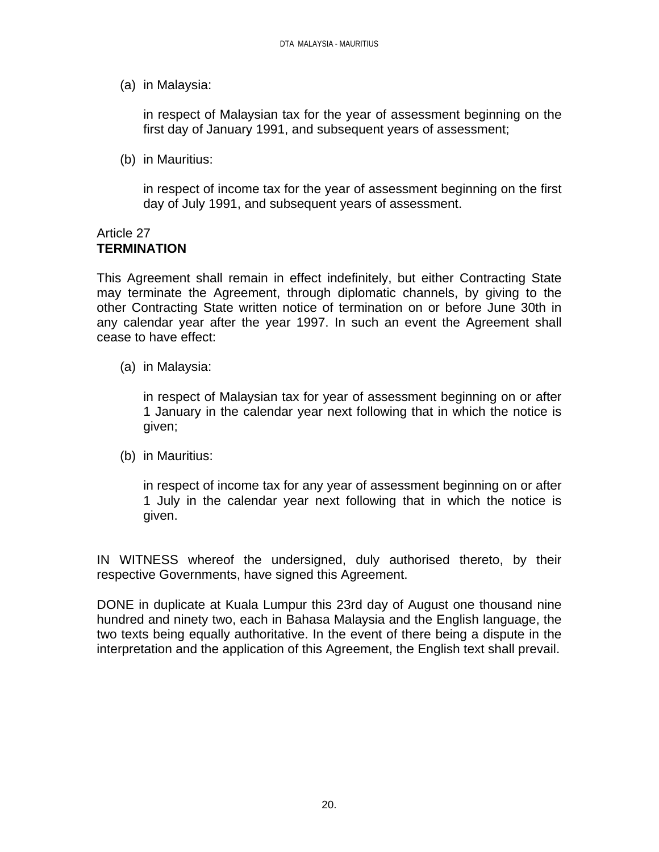(a) in Malaysia:

in respect of Malaysian tax for the year of assessment beginning on the first day of January 1991, and subsequent years of assessment;

(b) in Mauritius:

in respect of income tax for the year of assessment beginning on the first day of July 1991, and subsequent years of assessment.

## Article 27 **TERMINATION**

This Agreement shall remain in effect indefinitely, but either Contracting State may terminate the Agreement, through diplomatic channels, by giving to the other Contracting State written notice of termination on or before June 30th in any calendar year after the year 1997. In such an event the Agreement shall cease to have effect:

(a) in Malaysia:

in respect of Malaysian tax for year of assessment beginning on or after 1 January in the calendar year next following that in which the notice is given;

(b) in Mauritius:

in respect of income tax for any year of assessment beginning on or after 1 July in the calendar year next following that in which the notice is given.

IN WITNESS whereof the undersigned, duly authorised thereto, by their respective Governments, have signed this Agreement.

DONE in duplicate at Kuala Lumpur this 23rd day of August one thousand nine hundred and ninety two, each in Bahasa Malaysia and the English language, the two texts being equally authoritative. In the event of there being a dispute in the interpretation and the application of this Agreement, the English text shall prevail.